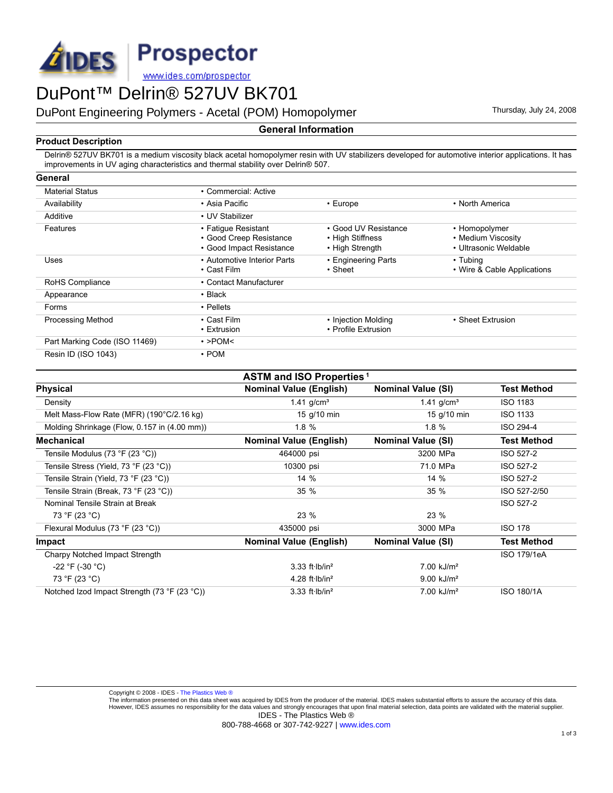

DuPont Engineering Polymers - Acetal (POM) Homopolymer Thursday, July 24, 2008

## **General Information**

### **Product Description**

Delrin® 527UV BK701 is a medium viscosity black acetal homopolymer resin with UV stabilizers developed for automotive interior applications. It has improvements in UV aging characteristics and thermal stability over Delrin® 507.

| General                       |                                                                            |                                                             |                                                              |
|-------------------------------|----------------------------------------------------------------------------|-------------------------------------------------------------|--------------------------------------------------------------|
| <b>Material Status</b>        | • Commercial: Active                                                       |                                                             |                                                              |
| Availability                  | • Asia Pacific                                                             | $\cdot$ Europe                                              | • North America                                              |
| Additive                      | • UV Stabilizer                                                            |                                                             |                                                              |
| Features                      | • Fatigue Resistant<br>• Good Creep Resistance<br>• Good Impact Resistance | • Good UV Resistance<br>• High Stiffness<br>• High Strength | • Homopolymer<br>• Medium Viscosity<br>• Ultrasonic Weldable |
| Uses                          | • Automotive Interior Parts<br>$\cdot$ Cast Film                           | • Engineering Parts<br>• Sheet                              | • Tubing<br>• Wire & Cable Applications                      |
| RoHS Compliance               | • Contact Manufacturer                                                     |                                                             |                                                              |
| Appearance                    | $\cdot$ Black                                                              |                                                             |                                                              |
| Forms                         | • Pellets                                                                  |                                                             |                                                              |
| <b>Processing Method</b>      | $\cdot$ Cast Film<br>• Extrusion                                           | • Injection Molding<br>• Profile Extrusion                  | • Sheet Extrusion                                            |
| Part Marking Code (ISO 11469) | $\cdot$ >POM<                                                              |                                                             |                                                              |
| Resin ID (ISO 1043)           | $\cdot$ POM                                                                |                                                             |                                                              |

| <b>ASTM and ISO Properties</b> <sup>1</sup>  |                                      |                           |                    |  |  |  |  |
|----------------------------------------------|--------------------------------------|---------------------------|--------------------|--|--|--|--|
| <b>Physical</b>                              | <b>Nominal Value (English)</b>       | <b>Nominal Value (SI)</b> | Test Method        |  |  |  |  |
| Density                                      | 1.41 $q/cm3$                         | $1.41$ g/cm <sup>3</sup>  | <b>ISO 1183</b>    |  |  |  |  |
| Melt Mass-Flow Rate (MFR) (190°C/2.16 kg)    | 15 g/10 min                          | 15 g/10 min               | <b>ISO 1133</b>    |  |  |  |  |
| Molding Shrinkage (Flow, 0.157 in (4.00 mm)) | 1.8%                                 | $1.8 \%$                  | ISO 294-4          |  |  |  |  |
| <b>Mechanical</b>                            | <b>Nominal Value (English)</b>       | <b>Nominal Value (SI)</b> | <b>Test Method</b> |  |  |  |  |
| Tensile Modulus (73 °F (23 °C))              | 464000 psi                           | 3200 MPa                  | ISO 527-2          |  |  |  |  |
| Tensile Stress (Yield, 73 °F (23 °C))        | 10300 psi                            | 71.0 MPa                  | ISO 527-2          |  |  |  |  |
| Tensile Strain (Yield, 73 °F (23 °C))        | $14\%$                               | 14 %                      | ISO 527-2          |  |  |  |  |
| Tensile Strain (Break, 73 °F (23 °C))        | 35 %                                 | 35%                       | ISO 527-2/50       |  |  |  |  |
| Nominal Tensile Strain at Break              |                                      |                           | ISO 527-2          |  |  |  |  |
| 73 °F (23 °C)                                | 23 %                                 | 23 %                      |                    |  |  |  |  |
| Flexural Modulus (73 °F (23 °C))             | 435000 psi                           | 3000 MPa                  | <b>ISO 178</b>     |  |  |  |  |
| <b>Impact</b>                                | <b>Nominal Value (English)</b>       | <b>Nominal Value (SI)</b> | <b>Test Method</b> |  |  |  |  |
| Charpy Notched Impact Strength               |                                      |                           | ISO 179/1eA        |  |  |  |  |
| $-22$ °F (-30 °C)                            | $3.33$ ft Ib/in <sup>2</sup>         | $7.00$ kJ/m <sup>2</sup>  |                    |  |  |  |  |
| 73 °F (23 °C)                                | 4.28 ft $lb/in^2$                    | $9.00$ kJ/m <sup>2</sup>  |                    |  |  |  |  |
| Notched Izod Impact Strength (73 °F (23 °C)) | $3.33$ ft $\cdot$ lb/in <sup>2</sup> | $7.00$ kJ/m <sup>2</sup>  | <b>ISO 180/1A</b>  |  |  |  |  |

Copyright © 2008 - IDES - [The Plastics Web ®](http://www.ides.com)<br>The information presented on this data sheet was acquired by IDES from the producer of the material. IDES makes substantial efforts to assure the accuracy of this data. However, IDES assumes no responsibility for the data values and strongly encourages that upon final material selection, data points are validated with the material supplier. IDES - The Plastics Web ®

800-788-4668 or 307-742-9227 | [www.ides.com](http://www.ides.com)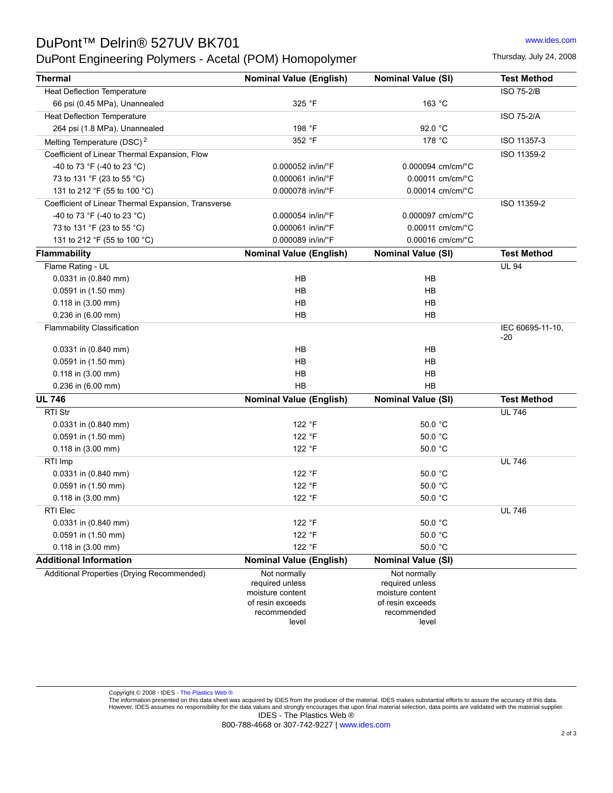## DuPont™ Delrin® 527UV BK701 [www.ides.com](http://www.ides.com)

DuPont Engineering Polymers - Acetal (POM) Homopolymer Thursday, July 24, 2008

| <b>Thermal</b>                                      | <b>Nominal Value (English)</b>                                                                  | <b>Nominal Value (SI)</b>                                                                       | <b>Test Method</b>        |
|-----------------------------------------------------|-------------------------------------------------------------------------------------------------|-------------------------------------------------------------------------------------------------|---------------------------|
| <b>Heat Deflection Temperature</b>                  |                                                                                                 |                                                                                                 | <b>ISO 75-2/B</b>         |
| 66 psi (0.45 MPa), Unannealed                       | 325 °F                                                                                          | 163 °C                                                                                          |                           |
| <b>Heat Deflection Temperature</b>                  |                                                                                                 |                                                                                                 | <b>ISO 75-2/A</b>         |
| 264 psi (1.8 MPa), Unannealed                       | 198 °F                                                                                          | 92.0 °C                                                                                         |                           |
| Melting Temperature (DSC) <sup>2</sup>              | 352 °F                                                                                          | 178 °C                                                                                          | ISO 11357-3               |
| Coefficient of Linear Thermal Expansion, Flow       |                                                                                                 |                                                                                                 | ISO 11359-2               |
| -40 to 73 °F (-40 to 23 °C)                         | 0.000052 in/in/°F                                                                               | 0.000094 cm/cm/°C                                                                               |                           |
| 73 to 131 °F (23 to 55 °C)                          | 0.000061 in/in/°F                                                                               | 0.00011 cm/cm/°C                                                                                |                           |
| 131 to 212 °F (55 to 100 °C)                        | 0.000078 in/in/°F                                                                               | 0.00014 cm/cm/°C                                                                                |                           |
| Coefficient of Linear Thermal Expansion, Transverse |                                                                                                 |                                                                                                 | ISO 11359-2               |
| -40 to 73 °F (-40 to 23 °C)                         | 0.000054 in/in/°F                                                                               | 0.000097 cm/cm/°C                                                                               |                           |
| 73 to 131 °F (23 to 55 °C)                          | 0.000061 in/in/°F                                                                               | $0.00011$ cm/cm/ $^{\circ}$ C                                                                   |                           |
| 131 to 212 °F (55 to 100 °C)                        | 0.000089 in/in/°F                                                                               | $0.00016$ cm/cm/ $°C$                                                                           |                           |
| <b>Flammability</b>                                 | <b>Nominal Value (English)</b>                                                                  | <b>Nominal Value (SI)</b>                                                                       | <b>Test Method</b>        |
| Flame Rating - UL                                   |                                                                                                 |                                                                                                 | <b>UL 94</b>              |
| 0.0331 in (0.840 mm)                                | HB                                                                                              | <b>HB</b>                                                                                       |                           |
| 0.0591 in (1.50 mm)                                 | HB                                                                                              | HB                                                                                              |                           |
| 0.118 in (3.00 mm)                                  | <b>HB</b>                                                                                       | HB                                                                                              |                           |
| 0.236 in (6.00 mm)                                  | <b>HB</b>                                                                                       | HB                                                                                              |                           |
| Flammability Classification                         |                                                                                                 |                                                                                                 | IEC 60695-11-10,<br>$-20$ |
| 0.0331 in (0.840 mm)                                | <b>HB</b>                                                                                       | HB                                                                                              |                           |
| 0.0591 in (1.50 mm)                                 | HB                                                                                              | HB                                                                                              |                           |
| 0.118 in (3.00 mm)                                  | <b>HB</b>                                                                                       | HB                                                                                              |                           |
| 0.236 in (6.00 mm)                                  | <b>HB</b>                                                                                       | HB                                                                                              |                           |
| <b>UL 746</b>                                       | <b>Nominal Value (English)</b>                                                                  | <b>Nominal Value (SI)</b>                                                                       | <b>Test Method</b>        |
| <b>RTI Str</b>                                      |                                                                                                 |                                                                                                 | <b>UL 746</b>             |
| 0.0331 in (0.840 mm)                                | 122 °F                                                                                          | 50.0 °C                                                                                         |                           |
| 0.0591 in (1.50 mm)                                 | 122 °F                                                                                          | 50.0 °C                                                                                         |                           |
| $0.118$ in $(3.00$ mm)                              | 122 °F                                                                                          | 50.0 °C                                                                                         |                           |
| RTI Imp                                             |                                                                                                 |                                                                                                 | <b>UL 746</b>             |
| 0.0331 in (0.840 mm)                                | 122 °F                                                                                          | 50.0 °C                                                                                         |                           |
| 0.0591 in (1.50 mm)                                 | 122 °F                                                                                          | 50.0 °C                                                                                         |                           |
| 0.118 in (3.00 mm)                                  | 122 °F                                                                                          | 50.0 °C                                                                                         |                           |
| RTI Elec                                            |                                                                                                 |                                                                                                 | <b>UL 746</b>             |
| 0.0331 in (0.840 mm)                                | 122 °F                                                                                          | 50.0 °C                                                                                         |                           |
| 0.0591 in (1.50 mm)                                 | 122 °F                                                                                          | 50.0 °C                                                                                         |                           |
| 0.118 in (3.00 mm)                                  | 122 °F                                                                                          | 50.0 °C                                                                                         |                           |
| <b>Additional Information</b>                       | <b>Nominal Value (English)</b>                                                                  | <b>Nominal Value (SI)</b>                                                                       |                           |
| Additional Properties (Drying Recommended)          | Not normally<br>required unless<br>moisture content<br>of resin exceeds<br>recommended<br>level | Not normally<br>required unless<br>moisture content<br>of resin exceeds<br>recommended<br>level |                           |

Copyright © 2008 - IDES - [The Plastics Web ®](http://www.ides.com)<br>The information presented on this data sheet was acquired by IDES from the producer of the material. IDES makes substantial efforts to assure the accuracy of this data. However, IDES assumes no responsibility for the data values and strongly encourages that upon final material selection, data points are validated with the material supplier. IDES - The Plastics Web ®

800-788-4668 or 307-742-9227 | [www.ides.com](http://www.ides.com)